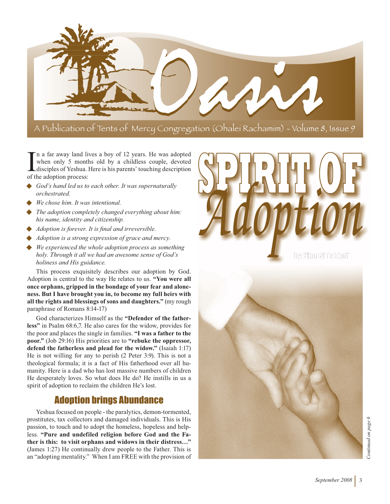

I n a far away land liv<br>
when only 5 month<br>
disciples of Yeshua. I<br>
of the adoption process: n a far away land lives a boy of 12 years. He was adopted when only 5 months old by a childless couple, devoted disciples of Yeshua. Here is his parents' touching description

- *God's hand led us to each other. It was supernaturally orchestrated.*
- *We chose him. It was intentional.*
- *The adoption completely changed everything about him: his name, identity and citizenship.*
- *Adoption is forever. It is final and irreversible.*
- *Adoption is a strong expression of grace and mercy.*
- *We experienced the whole adoption process as something holy. Through it all we had an awesome sense of God's holiness and His guidance.*

This process exquisitely describes our adoption by God. Adoption is central to the way He relates to us. **"You were all once orphans, gripped in the bondage of your fear and aloneness. But I have brought you in, to become my full heirs with all the rights and blessings of sons and daughters."** (my rough paraphrase of Romans 8:14-17)

God characterizes Himself as the **"Defender of the fatherless"** in Psalm 68:6,7. He also cares for the widow, provides for the poor and places the single in families. **"I was a father to the poor."** (Job 29:16) His priorities are to **"rebuke the oppressor, defend the fatherless and plead for the widow."** (Isaiah 1:17) He is not willing for any to perish (2 Peter 3:9). This is not a theological formula; it is a fact of His fatherhood over all humanity. Here is a dad who has lost massive numbers of children He desperately loves. So what does He do? He instills in us a spirit of adoption to reclaim the children He's lost.

# Adoption brings Abundance

Yeshua focused on people - the paralytics, demon-tormented, prostitutes, tax collectors and damaged individuals. This is His passion, to touch and to adopt the homeless, hopeless and helpless. **"Pure and undefiled religion before God and the Father is this: to visit orphans and widows in their distress…"**  (James 1:27) He continually drew people to the Father. This is an "adopting mentality." When I am FREE with the provision of



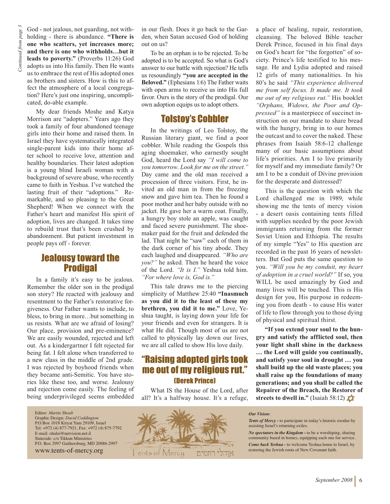God - not jealous, not guarding, not withholding - there is abundance. **"There is one who scatters, yet increases more; and there is one who withholds…but it leads to poverty."** (Proverbs 11:26) God adopts us into His family. Then He wants us to embrace the rest of His adopted ones as brothers and sisters. How is this to affect the atmosphere of a local congregation? Here's just one inspiring, uncomplicated, do-able example.

My dear friends Moshe and Katya Morrison are "adopters." Years ago they took a family of four abandoned teenage girls into their home and raised them. In Israel they have systematically integrated single-parent kids into their home after school to receive love, attention and healthy boundaries. Their latest adoption is a young blind Israeli woman with a background of severe abuse, who recently came to faith in Yeshua. I've watched the lasting fruit of their "adoptions." Remarkable, and so pleasing to the Great Shepherd! When we connect with the Father's heart and manifest His spirit of adoption, lives are changed. It takes time to rebuild trust that's been crushed by abandonment. But patient investment in people pays off - forever.

### Jealousy toward the **Prodigal**

In a family it's easy to be jealous. Remember the older son in the prodigal son story? He reacted with jealousy and resentment to the Father's restorative forgiveness. Our Father wants to include, to bless, to bring in more…but something in us resists. What are we afraid of losing? Our place, provision and pre-eminence? We are easily wounded, rejected and left out. As a kindergartner I felt rejected for being fat. I felt alone when transferred to a new class in the middle of 2nd grade. I was rejected by boyhood friends when they became anti-Semitic. You have stories like these too, and worse. Jealousy and rejection come easily. The feeling of being underprivileged seems embedded

Editor: *Martin Shoub* Graphic Design: *David Coddington* P.O.Box 1018 Kiryat Yam 29109, Israel Tel: +972 (4) 877-7921, Fax: +972 (4) 875-7792 E-mail: ohalei@netvision.net.il Stateside: c/o Tikkun Ministries P.O. Box 2997 Gaithersburg, MD 20886-2997 www.tents-of-mercy.org

in our flesh. Does it go back to the Garden, when Satan accused God of holding out on us?

To be an orphan is to be rejected. To be adopted is to be accepted. So what is God's answer to our battle with rejection? He tells us resoundingly **"you are accepted in the Beloved."** (Ephesians 1:6) The Father waits with open arms to receive us into His full favor. Ours is the story of the prodigal. Our own adoption equips us to adopt others.

# Tolstoy's Cobbler

In the writings of Leo Tolstoy, the Russian literary giant, we find a poor cobbler. While reading the Gospels this aging shoemaker, who earnestly sought God, heard the Lord say *"I will come to you tomorrow. Look for me on the street."*  Day came and the old man received a procession of three visitors. First, he invited an old man in from the freezing snow and gave him tea. Then he found a poor mother and her baby outside with no jacket. He gave her a warm coat. Finally, a hungry boy stole an apple, was caught and faced severe punishment. The shoemaker paid for the fruit and defended the lad. That night he "saw" each of them in the dark corner of his tiny abode. They each laughed and disappeared. *"Who are you?"* he asked. Then he heard the voice of the Lord. *"It is I."* Yeshua told him. *"For where love is, God is."*

This tale draws me to the piercing simplicity of Matthew 25:40 **"Inasmuch as you did it to the least of these my brethren, you did it to me."** Love, Yeshua taught, is laying down your life for your friends and even for strangers. It is what He did. Though most of us are not called to physically lay down our lives, we are all called to show His love daily.

### "Raising adopted girls took me out of my religious rut." (Derek Prince)

What IS the House of the Lord, after all? It's a halfway house. It's a refuge,



a place of healing, repair, restoration, cleansing. The beloved Bible teacher Derek Prince, focused in his final days on God's heart for "the forgotten" of society. Prince's life testified to his message. He and Lydia adopted and raised 12 girls of many nationalities. In his 80's he said *"This experience delivered me from self focus. It made me. It took me out of my religious rut."* His booklet *"Orphans, Widows, the Poor and Oppressed"* is a masterpiece of succinct instruction on our mandate to share bread with the hungry, bring in to our homes the outcast and to cover the naked. These phrases from Isaiah 58:6-12 challenge many of our basic assumptions about life's priorities. Am I to live primarily for myself and my immediate family? Or am I to be a conduit of Divine provision for the desperate and distressed?

This is the question with which the Lord challenged me in 1989, while showing me the tents of mercy vision - a desert oasis containing tents filled with supplies needed by the poor Jewish immigrants returning from the former Soviet Union and Ethiopia. The results of my simple "Yes" to His question are recorded in the past 16 years of newsletters. But God puts the same question to you. *"Will you be my conduit, my heart of adoption in a cruel world?"* If so, you WILL be used amazingly by God and many lives will be touched. This is His design for you, His purpose in redeeming you from death - to cause His water of life to flow through you to those dying of physical and spiritual thirst.

**"If you extend your soul to the hungry and satisfy the afflicted soul, then your light shall shine in the darkness … the Lord will guide you continually, and satisfy your soul in drought … you shall build up the old waste places; you shall raise up the foundations of many generations; and you shall be called the Repairer of the Breach, the Restorer of streets to dwell in."** (Isaiah 58:12)

#### *Our Vision:*

*Tents of Mercy -* to participate in today's historic exodus by assisting Israel's returning exiles.

*No spectators in the Kingdom -* to be a worshiping, sharing community based in homes, equipping each one for service.

*Come back Yeshua -* to welcome Yeshua home to Israel, by restoring the Jewish roots of New Covenant faith.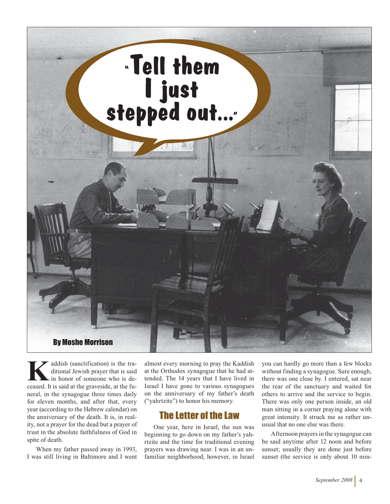

addish (sanctification) is the traditional Jewish prayer that is said in honor of someone who is deceased. It is said at the graveside, at the funeral, in the synagogue three times daily for eleven months, and after that, every year (according to the Hebrew calendar) on the anniversary of the death. It is, in reality, not a prayer for the dead but a prayer of trust in the absolute faithfulness of God in spite of death.

When my father passed away in 1993, I was still living in Baltimore and I went almost every morning to pray the Kaddish at the Orthodox synagogue that he had attended. The 14 years that I have lived in Israel I have gone to various synagogues on the anniversary of my father's death ("yahrtzite") to honor his memory.

### The Letter of the Law

One year, here in Israel, the sun was beginning to go down on my father's yahrtzite and the time for traditional evening prayers was drawing near. I was in an unfamiliar neighborhood; however, in Israel you can hardly go more than a few blocks without finding a synagogue. Sure enough, there was one close by. I entered, sat near the rear of the sanctuary and waited for others to arrive and the service to begin. There was only one person inside, an old man sitting in a corner praying alone with great intensity. It struck me as rather unusual that no one else was there.

Afternoon prayers in the synagogue can be said anytime after 12 noon and before sunset; usually they are done just before sunset (the service is only about 10 min